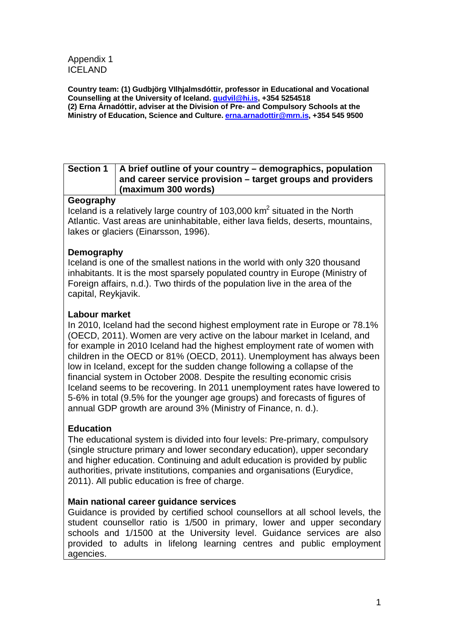Appendix 1 ICELAND

**Country team: (1) Gudbjörg VIlhjalmsdóttir, professor in Educational and Vocational Counselling at the University of Iceland. [gudvil@hi.is,](mailto:gudvil@hi.is) +354 5254518 (2) Erna Árnadóttir, adviser at the Division of Pre- and Compulsory Schools at the Ministry of Education, Science and Culture. [erna.arnadottir@mrn.is,](mailto:erna.arnadottir@mrn.is) +354 545 9500**

| Section 1   A brief outline of your country – demographics, population<br>and career service provision – target groups and providers |
|--------------------------------------------------------------------------------------------------------------------------------------|
| $\frac{1}{2}$ (maximum 300 words)                                                                                                    |

#### **Geography**

Iceland is a relatively large country of 103,000 km2 situated in the North Atlantic. Vast areas are uninhabitable, either lava fields, deserts, mountains, lakes or glaciers (Einarsson, 1996).

### **Demography**

Iceland is one of the smallest nations in the world with only 320 thousand inhabitants. It is the most sparsely populated country in Europe (Ministry of Foreign affairs, n.d.). Two thirds of the population live in the area of the capital, Reykjavik.

#### **Labour market**

In 2010, Iceland had the second highest employment rate in Europe or 78.1% (OECD, 2011). Women are very active on the labour market in Iceland, and for example in 2010 Iceland had the highest employment rate of women with children in the OECD or 81% (OECD, 2011). Unemployment has always been low in Iceland, except for the sudden change following a collapse of the financial system in October 2008. Despite the resulting economic crisis Iceland seems to be recovering. In 2011 unemployment rates have lowered to 5-6% in total (9.5% for the younger age groups) and forecasts of figures of annual GDP growth are around 3% (Ministry of Finance, n. d.).

#### **Education**

The educational system is divided into four levels: Pre-primary, compulsory (single structure primary and lower secondary education), upper secondary and higher education. Continuing and adult education is provided by public authorities, private institutions, companies and organisations (Eurydice, 2011). All public education is free of charge.

#### **Main national career guidance services**

Guidance is provided by certified school counsellors at all school levels, the student counsellor ratio is 1/500 in primary, lower and upper secondary schools and 1/1500 at the University level. Guidance services are also provided to adults in lifelong learning centres and public employment agencies.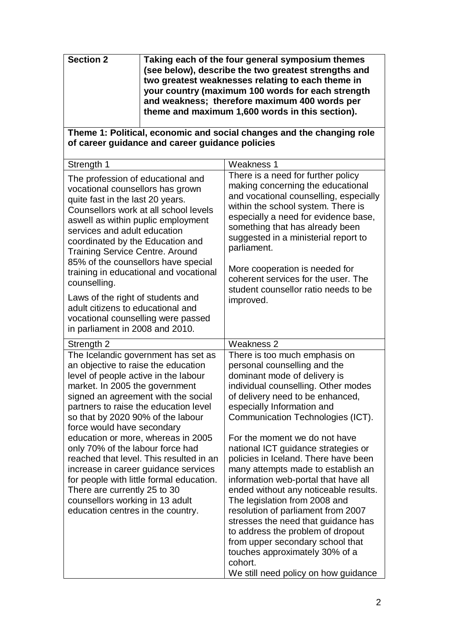| <b>Section 2</b> | Taking each of the four general symposium themes<br>(see below), describe the two greatest strengths and<br>two greatest weaknesses relating to each theme in<br>your country (maximum 100 words for each strength |
|------------------|--------------------------------------------------------------------------------------------------------------------------------------------------------------------------------------------------------------------|
|                  | and weakness; therefore maximum 400 words per<br>theme and maximum 1,600 words in this section).                                                                                                                   |

#### **Theme 1: Political, economic and social changes and the changing role of career guidance and career guidance policies**

| Strength 1                                                                                                                                                                                                                                                                                                                                                                                              | Weakness 1                                                                                                                                                                                                                                                                                                                                                                                                                                                                                                      |  |  |  |
|---------------------------------------------------------------------------------------------------------------------------------------------------------------------------------------------------------------------------------------------------------------------------------------------------------------------------------------------------------------------------------------------------------|-----------------------------------------------------------------------------------------------------------------------------------------------------------------------------------------------------------------------------------------------------------------------------------------------------------------------------------------------------------------------------------------------------------------------------------------------------------------------------------------------------------------|--|--|--|
| The profession of educational and<br>vocational counsellors has grown<br>quite fast in the last 20 years.<br>Counsellors work at all school levels<br>aswell as within puplic employment<br>services and adult education<br>coordinated by the Education and<br><b>Training Service Centre. Around</b><br>85% of the counsellors have special<br>training in educational and vocational<br>counselling. | There is a need for further policy<br>making concerning the educational<br>and vocational counselling, especially<br>within the school system. There is<br>especially a need for evidence base,<br>something that has already been<br>suggested in a ministerial report to<br>parliament.<br>More cooperation is needed for<br>coherent services for the user. The<br>student counsellor ratio needs to be                                                                                                      |  |  |  |
| Laws of the right of students and<br>adult citizens to educational and<br>vocational counselling were passed<br>in parliament in 2008 and 2010.                                                                                                                                                                                                                                                         | improved.                                                                                                                                                                                                                                                                                                                                                                                                                                                                                                       |  |  |  |
| Strength 2                                                                                                                                                                                                                                                                                                                                                                                              | Weakness 2                                                                                                                                                                                                                                                                                                                                                                                                                                                                                                      |  |  |  |
| The Icelandic government has set as<br>an objective to raise the education<br>level of people active in the labour<br>market. In 2005 the government<br>signed an agreement with the social<br>partners to raise the education level<br>so that by 2020 90% of the labour<br>force would have secondary                                                                                                 | There is too much emphasis on<br>personal counselling and the<br>dominant mode of delivery is<br>individual counselling. Other modes<br>of delivery need to be enhanced,<br>especially Information and<br>Communication Technologies (ICT).                                                                                                                                                                                                                                                                     |  |  |  |
| education or more, whereas in 2005<br>only 70% of the labour force had<br>reached that level. This resulted in an<br>increase in career guidance services<br>for people with little formal education.<br>There are currently 25 to 30<br>counsellors working in 13 adult<br>education centres in the country.                                                                                           | For the moment we do not have<br>national ICT guidance strategies or<br>policies in Iceland. There have been<br>many attempts made to establish an<br>information web-portal that have all<br>ended without any noticeable results.<br>The legislation from 2008 and<br>resolution of parliament from 2007<br>stresses the need that guidance has<br>to address the problem of dropout<br>from upper secondary school that<br>touches approximately 30% of a<br>cohort.<br>We still need policy on how guidance |  |  |  |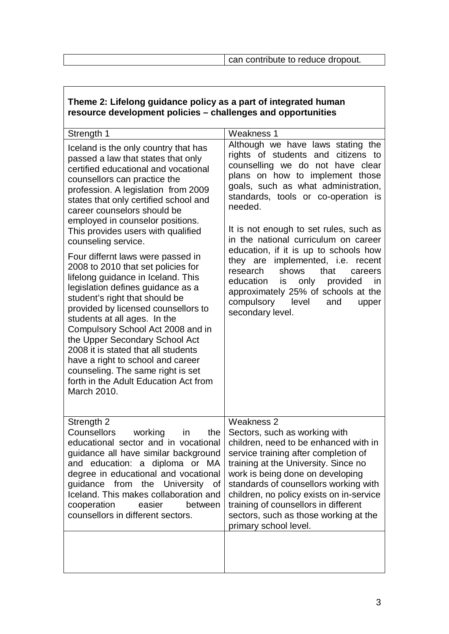| Theme 2: Elleiong guidance policy as a part of integrated numan<br>resource development policies - challenges and opportunities                                                                                                                                                                                                                                                                                                                                        |                                                                                                                                                                                                                                                                                                                                                                                                                                                                                                                                                                                                 |  |  |  |
|------------------------------------------------------------------------------------------------------------------------------------------------------------------------------------------------------------------------------------------------------------------------------------------------------------------------------------------------------------------------------------------------------------------------------------------------------------------------|-------------------------------------------------------------------------------------------------------------------------------------------------------------------------------------------------------------------------------------------------------------------------------------------------------------------------------------------------------------------------------------------------------------------------------------------------------------------------------------------------------------------------------------------------------------------------------------------------|--|--|--|
| Strength 1                                                                                                                                                                                                                                                                                                                                                                                                                                                             | Weakness 1                                                                                                                                                                                                                                                                                                                                                                                                                                                                                                                                                                                      |  |  |  |
| Iceland is the only country that has<br>passed a law that states that only<br>certified educational and vocational<br>counsellors can practice the<br>profession. A legislation from 2009<br>states that only certified school and<br>career counselors should be<br>employed in counselor positions.<br>This provides users with qualified<br>counseling service.<br>Four differnt laws were passed in                                                                | Although we have laws stating the<br>rights of students and citizens to<br>counselling we do not have clear<br>plans on how to implement those<br>goals, such as what administration,<br>standards, tools or co-operation is<br>needed.<br>It is not enough to set rules, such as<br>in the national curriculum on career<br>education, if it is up to schools how<br>they are implemented, i.e. recent<br>research<br>shows<br>that<br>careers<br>only<br>education<br>is<br>provided<br>in.<br>approximately 25% of schools at the<br>compulsory<br>level<br>and<br>upper<br>secondary level. |  |  |  |
| 2008 to 2010 that set policies for<br>lifelong guidance in Iceland. This<br>legislation defines guidance as a<br>student's right that should be<br>provided by licensed counsellors to<br>students at all ages. In the<br>Compulsory School Act 2008 and in<br>the Upper Secondary School Act<br>2008 it is stated that all students<br>have a right to school and career<br>counseling. The same right is set<br>forth in the Adult Education Act from<br>March 2010. |                                                                                                                                                                                                                                                                                                                                                                                                                                                                                                                                                                                                 |  |  |  |
| Strength 2<br>Counsellors<br>working<br>in<br>the<br>educational sector and in vocational<br>guidance all have similar background<br>and education: a diploma or MA<br>degree in educational and vocational<br>guidance from the University of<br>Iceland. This makes collaboration and<br>cooperation<br>easier<br>between<br>counsellors in different sectors.                                                                                                       | Weakness 2<br>Sectors, such as working with<br>children, need to be enhanced with in<br>service training after completion of<br>training at the University. Since no<br>work is being done on developing<br>standards of counsellors working with<br>children, no policy exists on in-service<br>training of counsellors in different<br>sectors, such as those working at the<br>primary school level.                                                                                                                                                                                         |  |  |  |
|                                                                                                                                                                                                                                                                                                                                                                                                                                                                        |                                                                                                                                                                                                                                                                                                                                                                                                                                                                                                                                                                                                 |  |  |  |

# **Theme 2: Lifelong guidance policy as a part of integrated human**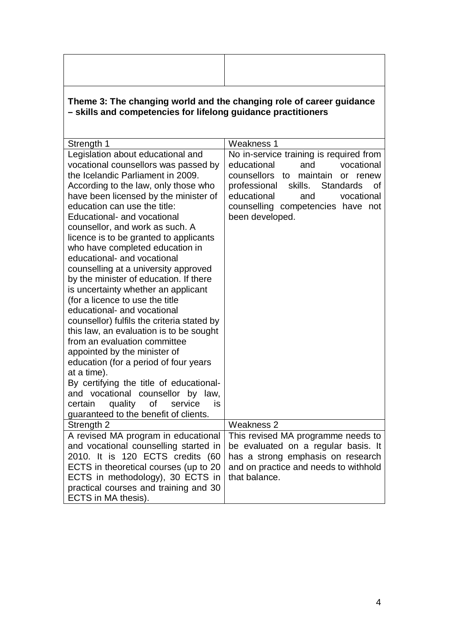| Theme 3: The changing world and the changing role of career guidance<br>- skills and competencies for lifelong guidance practitioners                                                                                                                                                                                                                                                                                                                                                                                                                                                                                                                                                                                                                                                                                                                                                                                                                                                        |                                                                                                                                                                                                                                                                  |  |  |  |
|----------------------------------------------------------------------------------------------------------------------------------------------------------------------------------------------------------------------------------------------------------------------------------------------------------------------------------------------------------------------------------------------------------------------------------------------------------------------------------------------------------------------------------------------------------------------------------------------------------------------------------------------------------------------------------------------------------------------------------------------------------------------------------------------------------------------------------------------------------------------------------------------------------------------------------------------------------------------------------------------|------------------------------------------------------------------------------------------------------------------------------------------------------------------------------------------------------------------------------------------------------------------|--|--|--|
| Strength 1                                                                                                                                                                                                                                                                                                                                                                                                                                                                                                                                                                                                                                                                                                                                                                                                                                                                                                                                                                                   | Weakness 1                                                                                                                                                                                                                                                       |  |  |  |
| Legislation about educational and<br>vocational counsellors was passed by<br>the Icelandic Parliament in 2009.<br>According to the law, only those who<br>have been licensed by the minister of<br>education can use the title:<br>Educational- and vocational<br>counsellor, and work as such. A<br>licence is to be granted to applicants<br>who have completed education in<br>educational- and vocational<br>counselling at a university approved<br>by the minister of education. If there<br>is uncertainty whether an applicant<br>(for a licence to use the title<br>educational- and vocational<br>counsellor) fulfils the criteria stated by<br>this law, an evaluation is to be sought<br>from an evaluation committee<br>appointed by the minister of<br>education (for a period of four years<br>at a time).<br>By certifying the title of educational-<br>and vocational counsellor by law,<br>quality of<br>certain<br>service<br>is<br>guaranteed to the benefit of clients. | No in-service training is required from<br>educational<br>vocational<br>and<br>counsellors to maintain<br>or renew<br>professional skills.<br><b>Standards</b><br>οf<br>educational<br>vocational<br>and<br>counselling competencies have not<br>been developed. |  |  |  |
|                                                                                                                                                                                                                                                                                                                                                                                                                                                                                                                                                                                                                                                                                                                                                                                                                                                                                                                                                                                              | <b>Weakness 2</b>                                                                                                                                                                                                                                                |  |  |  |
| Strength 2<br>A revised MA program in educational<br>and vocational counselling started in<br>2010. It is 120 ECTS credits (60<br>ECTS in theoretical courses (up to 20<br>ECTS in methodology), 30 ECTS in<br>practical courses and training and 30<br>ECTS in MA thesis).                                                                                                                                                                                                                                                                                                                                                                                                                                                                                                                                                                                                                                                                                                                  | This revised MA programme needs to<br>be evaluated on a regular basis. It<br>has a strong emphasis on research<br>and on practice and needs to withhold<br>that balance.                                                                                         |  |  |  |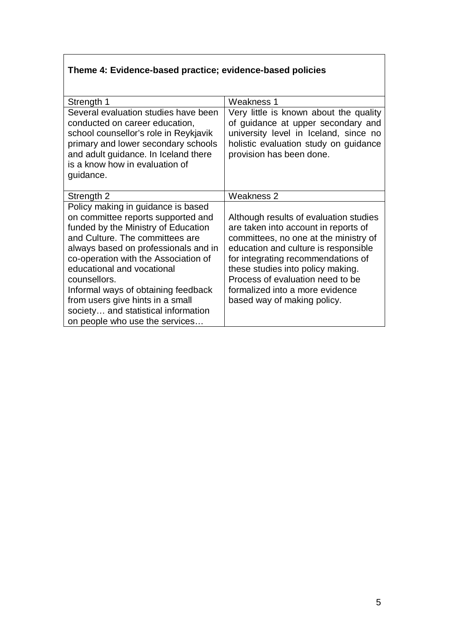## **Theme 4: Evidence-based practice; evidence-based policies**

| Strength 1                                                                  | Weakness 1                                                                   |
|-----------------------------------------------------------------------------|------------------------------------------------------------------------------|
| Several evaluation studies have been<br>conducted on career education,      | Very little is known about the quality<br>of guidance at upper secondary and |
| school counsellor's role in Reykjavik                                       | university level in Iceland, since no                                        |
| primary and lower secondary schools<br>and adult guidance. In Iceland there | holistic evaluation study on guidance<br>provision has been done.            |
| is a know how in evaluation of                                              |                                                                              |
| guidance.                                                                   |                                                                              |
| Strength 2                                                                  | <b>Weakness 2</b>                                                            |
| Policy making in guidance is based                                          |                                                                              |
| on committee reports supported and                                          | Although results of evaluation studies                                       |
| funded by the Ministry of Education                                         | are taken into account in reports of                                         |
| and Culture. The committees are                                             | committees, no one at the ministry of                                        |
| always based on professionals and in                                        | education and culture is responsible                                         |
| co-operation with the Association of                                        | for integrating recommendations of                                           |
| educational and vocational                                                  | these studies into policy making.                                            |
| counsellors.                                                                | Process of evaluation need to be                                             |
| Informal ways of obtaining feedback                                         | formalized into a more evidence                                              |
| from users give hints in a small                                            | based way of making policy.                                                  |
| society and statistical information                                         |                                                                              |
| on people who use the services                                              |                                                                              |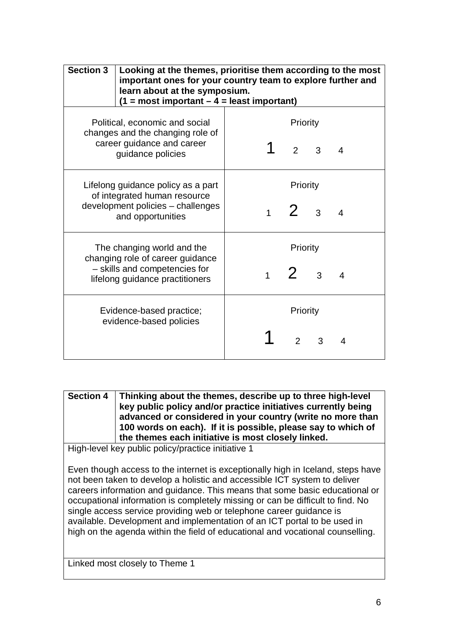| <b>Section 3</b>                                                                                     | Looking at the themes, prioritise them according to the most<br>important ones for your country team to explore further and<br>learn about at the symposium.<br>$(1 = most important - 4 = least important)$ |          |                |               |                |                |
|------------------------------------------------------------------------------------------------------|--------------------------------------------------------------------------------------------------------------------------------------------------------------------------------------------------------------|----------|----------------|---------------|----------------|----------------|
| Political, economic and social                                                                       | Priority                                                                                                                                                                                                     |          |                |               |                |                |
| changes and the changing role of<br>career guidance and career<br>guidance policies                  |                                                                                                                                                                                                              |          |                | $\mathcal{P}$ | $\overline{3}$ | 4              |
| Lifelong guidance policy as a part                                                                   |                                                                                                                                                                                                              | Priority |                |               |                |                |
| of integrated human resource<br>development policies - challenges<br>and opportunities               |                                                                                                                                                                                                              |          | 1 <sup>1</sup> | $2 -$         | 3              | $\overline{4}$ |
| The changing world and the                                                                           |                                                                                                                                                                                                              | Priority |                |               |                |                |
| changing role of career guidance<br>- skills and competencies for<br>lifelong guidance practitioners |                                                                                                                                                                                                              |          | $1 \quad$      | $2 -$         | $\mathcal{S}$  | $\overline{4}$ |
| Evidence-based practice;<br>evidence-based policies                                                  |                                                                                                                                                                                                              | Priority |                |               |                |                |
|                                                                                                      |                                                                                                                                                                                                              |          |                | $\mathcal{P}$ | 3              |                |

**Section 4 Thinking about the themes, describe up to three high-level key public policy and/or practice initiatives currently being advanced or considered in your country (write no more than 100 words on each). If it is possible, please say to which of the themes each initiative is most closely linked.**

High-level key public policy/practice initiative 1

Even though access to the internet is exceptionally high in Iceland, steps have not been taken to develop a holistic and accessible ICT system to deliver careers information and guidance. This means that some basic educational or occupational information is completely missing or can be difficult to find. No single access service providing web or telephone career guidance is available. Development and implementation of an ICT portal to be used in high on the agenda within the field of educational and vocational counselling.

Linked most closely to Theme 1